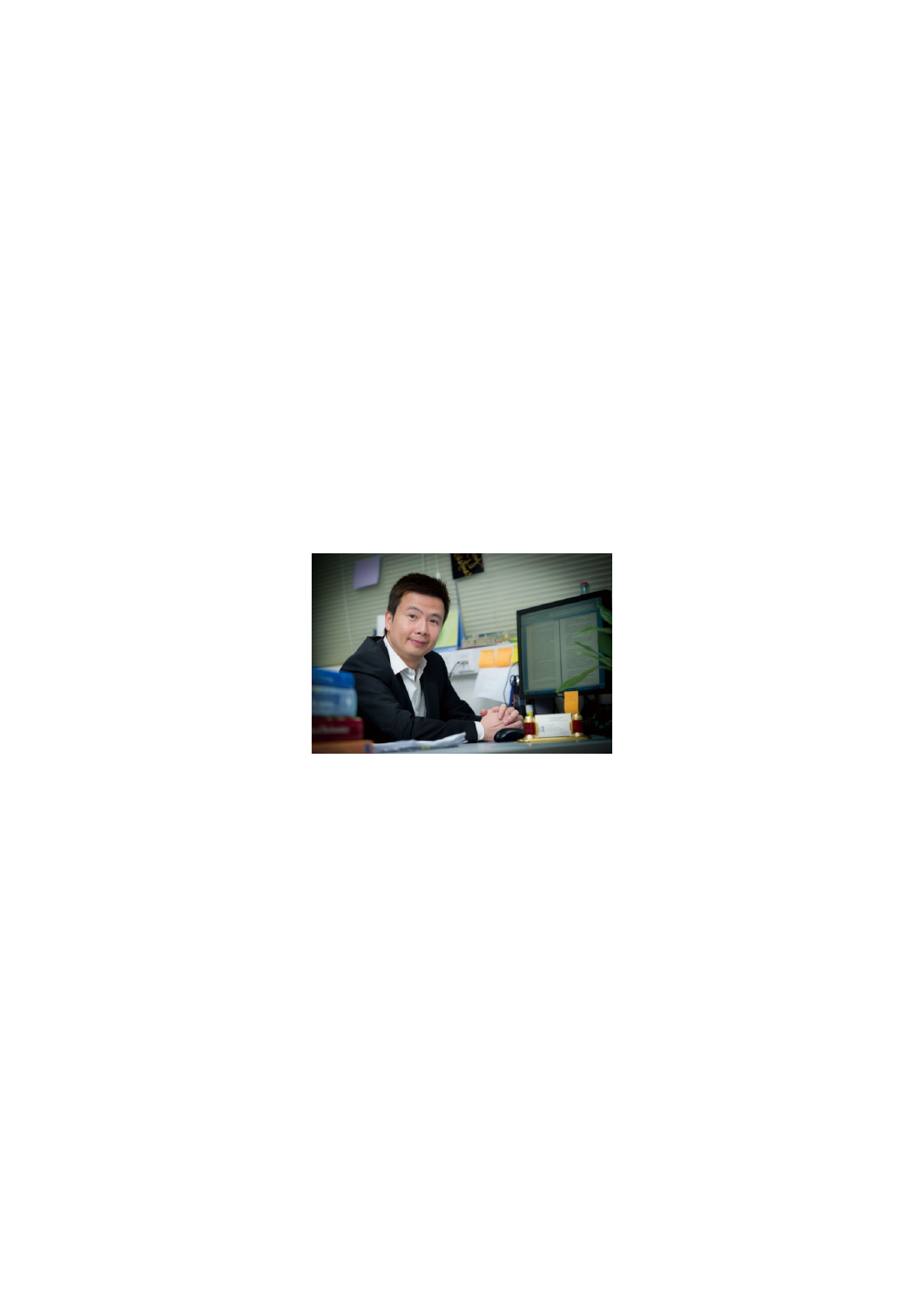